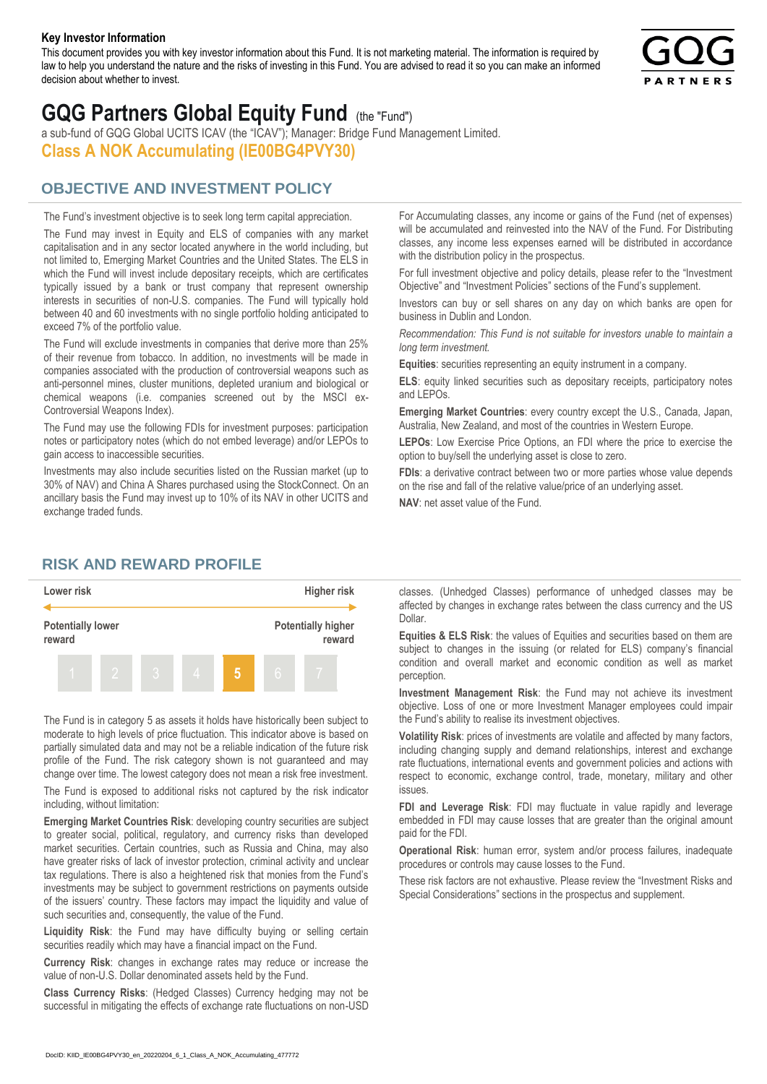#### **Key Investor Information**

This document provides you with key investor information about this Fund. It is not marketing material. The information is required by law to help you understand the nature and the risks of investing in this Fund. You are advised to read it so you can make an informed decision about whether to invest.



# **GQG Partners Global Equity Fund** (the "Fund")

a sub-fund of GQG Global UCITS ICAV (the "ICAV"); Manager: Bridge Fund Management Limited. **Class A NOK Accumulating (IE00BG4PVY30)**

## **OBJECTIVE AND INVESTMENT POLICY**

The Fund's investment objective is to seek long term capital appreciation. The Fund may invest in Equity and ELS of companies with any market capitalisation and in any sector located anywhere in the world including, but not limited to, Emerging Market Countries and the United States. The ELS in which the Fund will invest include depositary receipts, which are certificates typically issued by a bank or trust company that represent ownership interests in securities of non-U.S. companies. The Fund will typically hold between 40 and 60 investments with no single portfolio holding anticipated to exceed 7% of the portfolio value.

The Fund will exclude investments in companies that derive more than 25% of their revenue from tobacco. In addition, no investments will be made in companies associated with the production of controversial weapons such as anti-personnel mines, cluster munitions, depleted uranium and biological or chemical weapons (i.e. companies screened out by the MSCI ex-Controversial Weapons Index).

The Fund may use the following FDIs for investment purposes: participation notes or participatory notes (which do not embed leverage) and/or LEPOs to gain access to inaccessible securities.

Investments may also include securities listed on the Russian market (up to 30% of NAV) and China A Shares purchased using the StockConnect. On an ancillary basis the Fund may invest up to 10% of its NAV in other UCITS and exchange traded funds.

For Accumulating classes, any income or gains of the Fund (net of expenses) will be accumulated and reinvested into the NAV of the Fund. For Distributing classes, any income less expenses earned will be distributed in accordance with the distribution policy in the prospectus.

For full investment objective and policy details, please refer to the "Investment Objective" and "Investment Policies" sections of the Fund's supplement.

Investors can buy or sell shares on any day on which banks are open for business in Dublin and London.

*Recommendation: This Fund is not suitable for investors unable to maintain a long term investment.*

**Equities**: securities representing an equity instrument in a company.

**ELS**: equity linked securities such as depositary receipts, participatory notes and LEPOs.

**Emerging Market Countries**: every country except the U.S., Canada, Japan, Australia, New Zealand, and most of the countries in Western Europe.

**LEPOs**: Low Exercise Price Options, an FDI where the price to exercise the option to buy/sell the underlying asset is close to zero.

**FDIs**: a derivative contract between two or more parties whose value depends on the rise and fall of the relative value/price of an underlying asset.

**NAV**: net asset value of the Fund.

### **RISK AND REWARD PROFILE**



The Fund is in category 5 as assets it holds have historically been subject to moderate to high levels of price fluctuation. This indicator above is based on partially simulated data and may not be a reliable indication of the future risk profile of the Fund. The risk category shown is not guaranteed and may change over time. The lowest category does not mean a risk free investment.

The Fund is exposed to additional risks not captured by the risk indicator including, without limitation:

**Emerging Market Countries Risk**: developing country securities are subject to greater social, political, regulatory, and currency risks than developed market securities. Certain countries, such as Russia and China, may also have greater risks of lack of investor protection, criminal activity and unclear tax regulations. There is also a heightened risk that monies from the Fund's investments may be subject to government restrictions on payments outside of the issuers' country. These factors may impact the liquidity and value of such securities and, consequently, the value of the Fund.

**Liquidity Risk**: the Fund may have difficulty buying or selling certain securities readily which may have a financial impact on the Fund.

**Currency Risk**: changes in exchange rates may reduce or increase the value of non-U.S. Dollar denominated assets held by the Fund.

**Class Currency Risks**: (Hedged Classes) Currency hedging may not be successful in mitigating the effects of exchange rate fluctuations on non-USD classes. (Unhedged Classes) performance of unhedged classes may be affected by changes in exchange rates between the class currency and the US Dollar.

**Equities & ELS Risk**: the values of Equities and securities based on them are subject to changes in the issuing (or related for ELS) company's financial condition and overall market and economic condition as well as market perception.

**Investment Management Risk**: the Fund may not achieve its investment objective. Loss of one or more Investment Manager employees could impair the Fund's ability to realise its investment objectives.

**Volatility Risk**: prices of investments are volatile and affected by many factors, including changing supply and demand relationships, interest and exchange rate fluctuations, international events and government policies and actions with respect to economic, exchange control, trade, monetary, military and other issues.

**FDI and Leverage Risk**: FDI may fluctuate in value rapidly and leverage embedded in FDI may cause losses that are greater than the original amount paid for the FDI.

**Operational Risk**: human error, system and/or process failures, inadequate procedures or controls may cause losses to the Fund.

These risk factors are not exhaustive. Please review the "Investment Risks and Special Considerations" sections in the prospectus and supplement.